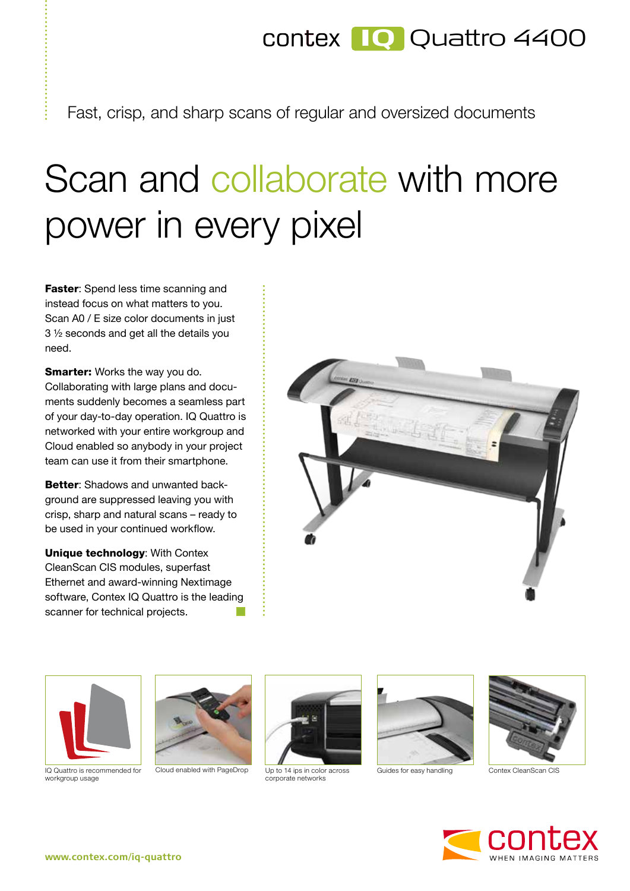## **IQ** Quattro 4400

Fast, crisp, and sharp scans of regular and oversized documents

## Scan and collaborate with more power in every pixel

Faster: Spend less time scanning and instead focus on what matters to you. Scan A0 / E size color documents in just 3 ½ seconds and get all the details you need.

**Smarter:** Works the way you do. Collaborating with large plans and documents suddenly becomes a seamless part of your day-to-day operation. IQ Quattro is networked with your entire workgroup and Cloud enabled so anybody in your project team can use it from their smartphone.

Better: Shadows and unwanted background are suppressed leaving you with crisp, sharp and natural scans – ready to be used in your continued workflow.

Unique technology: With Contex CleanScan CIS modules, superfast Ethernet and award-winning Nextimage software, Contex IQ Quattro is the leading scanner for technical projects.





IQ Quattro is recommended for workgroup usage





Up to 14 ips in color across corporate networks Cloud enabled with PageDrop Up to 14 ips in color across Guides for easy handling Contex CleanScan CIS